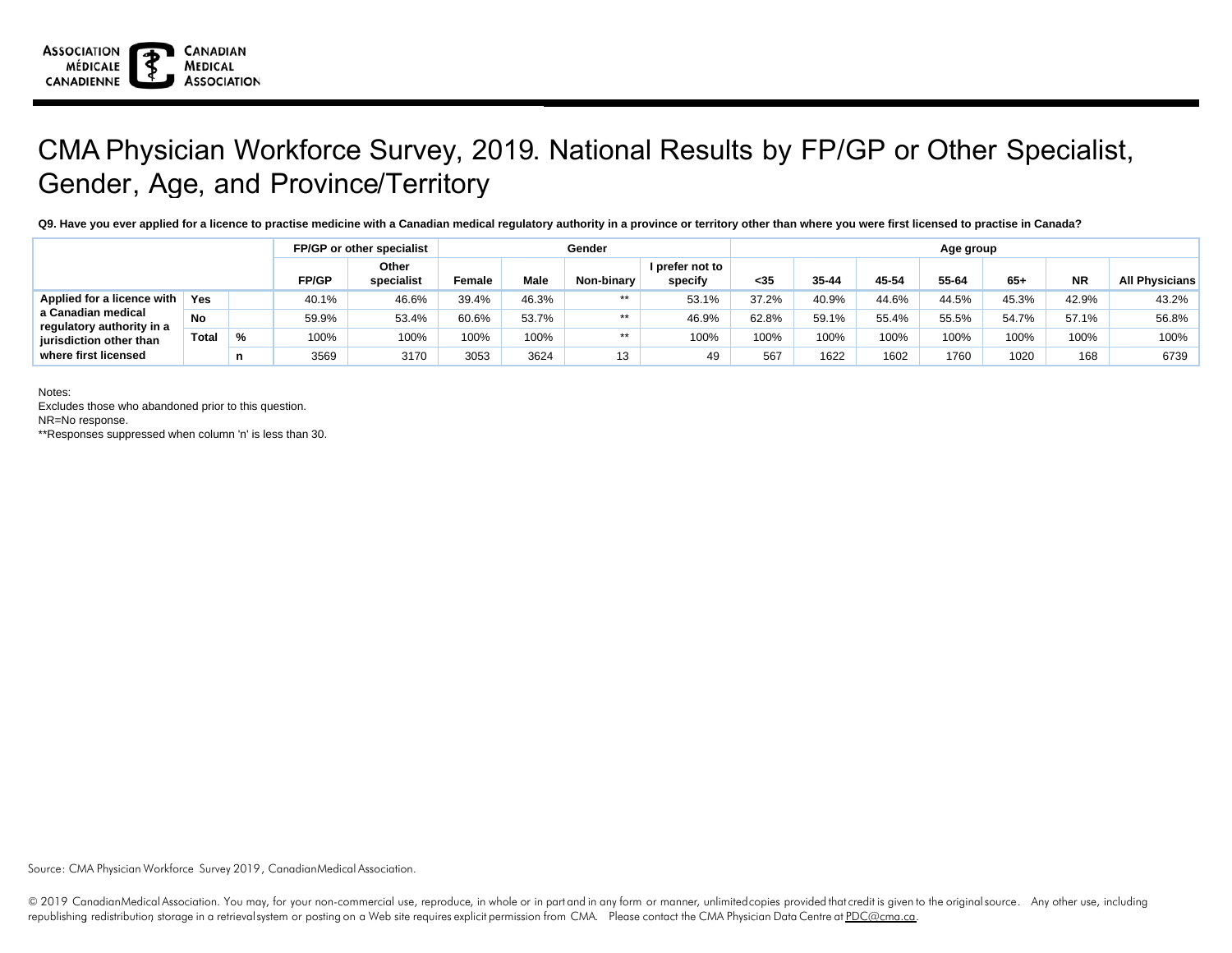

## CMA Physician Workforce Survey, 2019. National Results by FP/GP or Other Specialist, Gender, Age, and Province/Territory

**Q9. Have you ever applied for a licence to practise medicine with a Canadian medical regulatory authority in a province or territory other than where you were first licensed to practise in Canada?**

|                                                                                                                                  |              |               |       | FP/GP or other specialist | Gender |       |            |                            | Age group |       |       |       |       |           |                       |  |
|----------------------------------------------------------------------------------------------------------------------------------|--------------|---------------|-------|---------------------------|--------|-------|------------|----------------------------|-----------|-------|-------|-------|-------|-----------|-----------------------|--|
|                                                                                                                                  |              |               | FP/GP | Other<br>specialist       | Female | Male  | Non-binary | I prefer not to<br>specify | $35$      | 35-44 | 45-54 | 55-64 | $65+$ | <b>NR</b> | <b>All Physicians</b> |  |
| Applied for a licence with<br>a Canadian medical<br>regulatory authority in a<br>jurisdiction other than<br>where first licensed | Yes          |               | 40.1% | 46.6%                     | 39.4%  | 46.3% | $***$      | 53.1%                      | 37.2%     | 40.9% | 44.6% | 44.5% | 45.3% | 42.9%     | 43.2%                 |  |
|                                                                                                                                  | <b>No</b>    |               | 59.9% | 53.4%                     | 60.6%  | 53.7% | $***$      | 46.9%                      | 62.8%     | 59.1% | 55.4% | 55.5% | 54.7% | 57.1%     | 56.8%                 |  |
|                                                                                                                                  | <b>Total</b> | $\frac{9}{6}$ | 100%  | 100%                      | 100%   | 100%  | $***$      | 100%                       | 100%      | 100%  | 100%  | 100%  | 100%  | 100%      | 100%                  |  |
|                                                                                                                                  |              |               | 3569  | 3170                      | 3053   | 3624  | 13         | 49                         | 567       | 1622  | 1602  | 1760  | 1020  | 168       | 6739                  |  |

Notes:

Excludes those who abandoned prior to this question.

NR=No response.

\*\*Responses suppressed when column 'n' is less than 30.

Source: CMA Physician Workforce Survey 2019, CanadianMedical Association.

© 2019 CanadianMedical Association. You may, for your non-commercial use, reproduce, in whole or in part and in any form or manner, unlimited copies provided that credit is given to the original source. Any other use, incl republishing redistribution storage in a retrievalsystem or posting on a Web site requires explicit permission from CMA. Please contact the CMA Physician Data Centre at PDC@cma.ca.